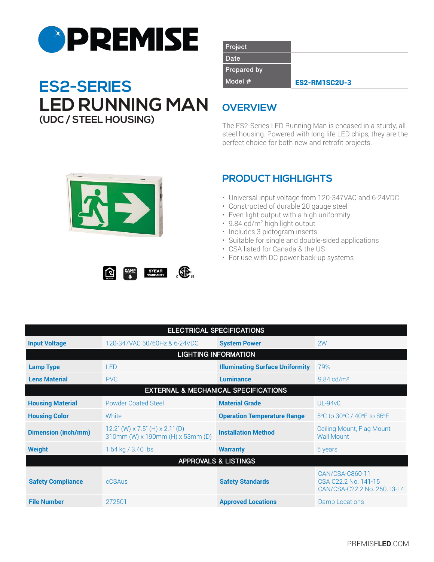

# **Model #** ES2-RM1SC2U-3 **ES2-SERIES LED RUNNING MAN (UDC / STEEL HOUSING)**

| Project            |                      |
|--------------------|----------------------|
| Date               |                      |
| <b>Prepared by</b> |                      |
| $Model$ #          | <b>ES2-RM1SC2U-3</b> |

# **OVERVIEW**

The ES2-Series LED Running Man is encased in a sturdy, all steel housing. Powered with long life LED chips, they are the perfect choice for both new and retrofit projects.



 $\Omega$ 

## **PRODUCT HIGHLIGHTS**

- Universal input voltage from 120-347VAC and 6-24VDC
- Constructed of durable 20 gauge steel
- Even light output with a high uniformity
- 9.84 cd/m<sup>2</sup> high light output
- Includes 3 pictogram inserts
- Suitable for single and double-sided applications
- CSA listed for Canada & the US
- For use with DC power back-up systems

| <b>ELECTRICAL SPECIFICATIONS</b>                |                                                                        |                                        |                                                                        |  |
|-------------------------------------------------|------------------------------------------------------------------------|----------------------------------------|------------------------------------------------------------------------|--|
| <b>Input Voltage</b>                            | 120-347VAC 50/60Hz & 6-24VDC                                           | <b>System Power</b>                    | 2W                                                                     |  |
| <b>LIGHTING INFORMATION</b>                     |                                                                        |                                        |                                                                        |  |
| <b>Lamp Type</b>                                | <b>LED</b>                                                             | <b>Illuminating Surface Uniformity</b> | 79%                                                                    |  |
| <b>Lens Material</b>                            | <b>PVC</b>                                                             | <b>Luminance</b>                       | $9.84$ cd/m <sup>2</sup>                                               |  |
| <b>EXTERNAL &amp; MECHANICAL SPECIFICATIONS</b> |                                                                        |                                        |                                                                        |  |
| <b>Housing Material</b>                         | <b>Powder Coated Steel</b>                                             | <b>Material Grade</b>                  | <b>UL-94v0</b>                                                         |  |
| <b>Housing Color</b>                            | White                                                                  | <b>Operation Temperature Range</b>     | 5°C to 30°C / 40°F to 86°F                                             |  |
| <b>Dimension (inch/mm)</b>                      | $12.2''$ (W) x 7.5" (H) x 2.1" (D)<br>310mm (W) x 190mm (H) x 53mm (D) | <b>Installation Method</b>             | Ceiling Mount, Flag Mount<br><b>Wall Mount</b>                         |  |
| <b>Weight</b>                                   | 1.54 kg / 3.40 lbs                                                     | <b>Warranty</b>                        | 5 years                                                                |  |
| <b>APPROVALS &amp; LISTINGS</b>                 |                                                                        |                                        |                                                                        |  |
| <b>Safety Compliance</b>                        | cCSAus                                                                 | <b>Safety Standards</b>                | CAN/CSA-C860-11<br>CSA C22.2 No. 141-15<br>CAN/CSA-C22.2 No. 250.13-14 |  |
| <b>File Number</b>                              | 272501                                                                 | <b>Approved Locations</b>              | Damp Locations                                                         |  |

 $\mathbb{G}$ 

5YEAR<br>WARRANTY